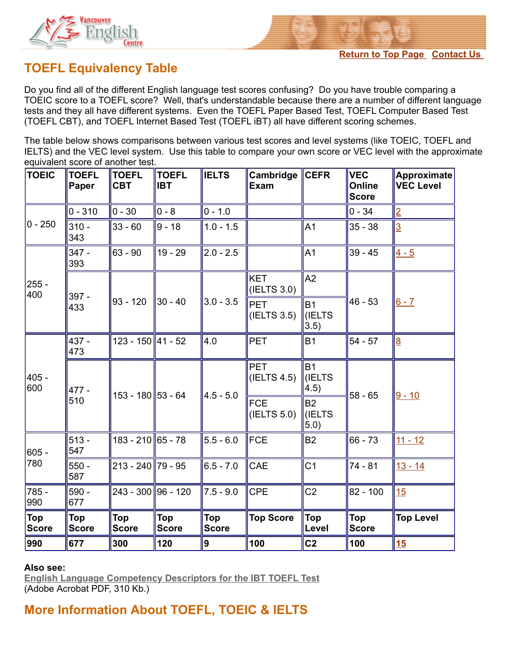

## **TOEFL Equivalency Table**

Do you find all of the different English language test scores confusing? Do you have trouble comparing a TOEIC score to a TOEFL score? Well, that's understandable because there are a number of different language tests and they all have different systems. Even the TOEFL Paper Based Test, TOEFL Computer Based Test (TOEFL CBT), and TOEFL Internet Based Test (TOEFL iBT) all have different scoring schemes.

The table below shows comparisons between various test scores and level systems (like TOEIC, TOEFL and IELTS) and the VEC level system. Use this table to compare your own score or VEC level with the approximate equivalent score of another test.

| <b>TOEIC</b>               | <b>TOEFL</b><br>Paper | <b>TOEFL</b><br><b>CBT</b> | <b>TOEFL</b><br><b>IBT</b> | <b>IELTS</b>               | Cambridge<br><b>Exam</b>  | <b>CEFR</b>                         | <b>VEC</b><br>Online<br><b>Score</b> | <b>Approximate</b><br><b>VEC Level</b> |
|----------------------------|-----------------------|----------------------------|----------------------------|----------------------------|---------------------------|-------------------------------------|--------------------------------------|----------------------------------------|
| $0 - 250$                  | $0 - 310$             | $0 - 30$                   | $ 0 - 8 $                  | $0 - 1.0$                  |                           |                                     | $0 - 34$                             | $\overline{2}$                         |
|                            | $310 -$<br>343        | $33 - 60$                  | $9 - 18$                   | $1.0 - 1.5$                |                           | A <sub>1</sub>                      | $35 - 38$                            | $\overline{3}$                         |
| $255 -$<br>400             | $347 -$<br>393        | $63 - 90$                  | $19 - 29$                  | $2.0 - 2.5$                |                           | A <sub>1</sub>                      | $39 - 45$                            | $4 - 5$                                |
|                            | 397 -<br>433          | $93 - 120$                 | 30 - 40                    | $3.0 - 3.5$                | <b>KET</b><br>(IELTS 3.0) | A2                                  | $46 - 53$                            |                                        |
|                            |                       |                            |                            |                            | <b>PET</b><br>(IELTS 3.5) | <b>B1</b><br><b>(IELTS)</b><br>3.5) |                                      | $6 - 7$                                |
| $405 -$<br>600             | $437 -$<br>473        | 123 - 150 41 - 52          |                            | 4.0                        | <b>PET</b>                | <b>B1</b>                           | $54 - 57$                            | $\overline{8}$                         |
|                            | 477 -<br>510          | 153 - 180 53 - 64          |                            | $4.5 - 5.0$                | <b>PET</b><br>(IELTS 4.5) | <b>B1</b><br>(IELTS<br>4.5)         | $58 - 65$                            | $9 - 10$                               |
|                            |                       |                            |                            |                            | <b>FCE</b><br>(IELTS 5.0) | <b>B2</b><br>(IELTS<br>5.0)         |                                      |                                        |
| $605 -$<br>780             | $513 -$<br>547        | 183 - 210 65 - 78          |                            | $5.5 - 6.0$                | <b>FCE</b>                | <b>B2</b>                           | $66 - 73$                            | $11 - 12$                              |
|                            | $550 -$<br>587        | 213 - 240∥79 - 95∣         |                            | $6.5 - 7.0$                | CAE                       | C <sub>1</sub>                      | 74 - 81                              | $13 - 14$                              |
| 785 -<br>990               | $590 -$<br>677        | 243 - 300 96 - 120         |                            | $7.5 - 9.0$                | <b>CPE</b>                | C <sub>2</sub>                      | $82 - 100$                           | 15                                     |
| <b>Top</b><br><b>Score</b> | Top<br><b>Score</b>   | Top<br><b>Score</b>        | <b>Top</b><br><b>Score</b> | <b>Top</b><br><b>Score</b> | <b>Top Score</b>          | <b>Top</b><br>Level                 | Top<br><b>Score</b>                  | <b>Top Level</b>                       |
| 990                        | 677                   | 300                        | 120                        | 9                          | 100                       | C <sub>2</sub>                      | 100                                  | 15                                     |

## **Also see:**

**[English Language Competency Descriptors for the IBT TOEFL Test](http://www.ets.org/Media/Tests/TOEFL/pdf/EngLangCompDescriptors.pdf)** (Adobe Acrobat PDF, 310 Kb.)

**More Information About TOEFL, TOEIC & IELTS**